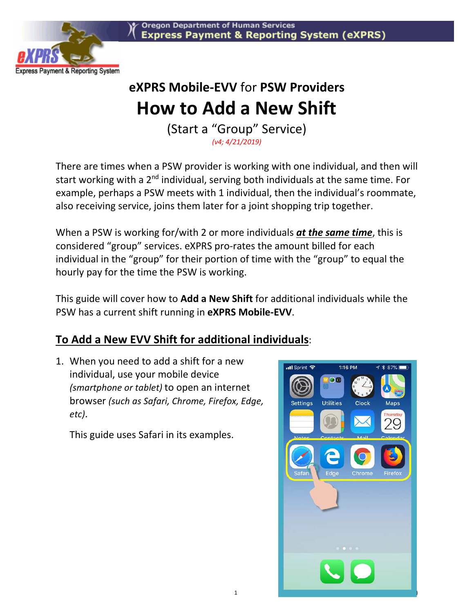

## **eXPRS Mobile-EVV** for **PSW Providers How to Add a New Shift**

(Start a "Group" Service) *(v4; 4/21/2019)* 

There are times when a PSW provider is working with one individual, and then will start working with a 2<sup>nd</sup> individual, serving both individuals at the same time. For example, perhaps a PSW meets with 1 individual, then the individual's roommate, also receiving service, joins them later for a joint shopping trip together.

When a PSW is working for/with 2 or more individuals *at the same time*, this is considered "group" services. eXPRS pro-rates the amount billed for each individual in the "group" for their portion of time with the "group" to equal the hourly pay for the time the PSW is working.

This guide will cover how to **Add a New Shift** for additional individuals while the PSW has a current shift running in **eXPRS Mobile-EVV**.

## **To Add a New EVV Shift for additional individuals**:

1. When you need to add a shift for a new individual, use your mobile device *(smartphone or tablet)* to open an internet browser *(such as Safari, Chrome, Firefox, Edge, etc)*.

This guide uses Safari in its examples.

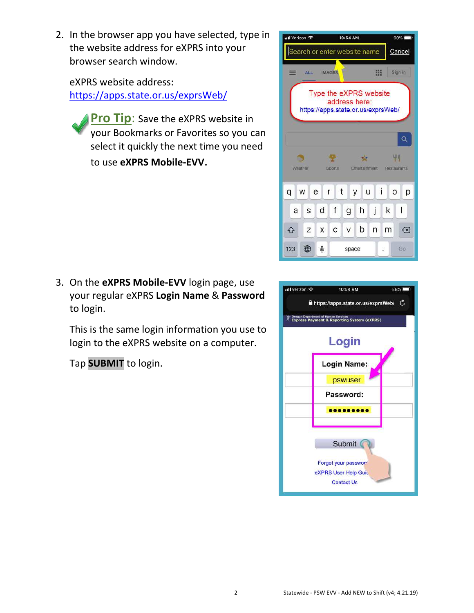2. In the browser app you have selected, type in the website address for eXPRS into your browser search window.

eXPRS website address: https://apps.state.or.us/exprsWeb/

**Pro Tip:** Save the eXPRS website in your Bookmarks or Favorites so you can select it quickly the next time you need to use **eXPRS Mobile-EVV**.

3. On the **eXPRS Mobile-EVV** login page, use your regular eXPRS **Login Name** & **Password** to login.

This is the same login information you use to login to the eXPRS website on a computer.

Tap **SUBMIT** to login.



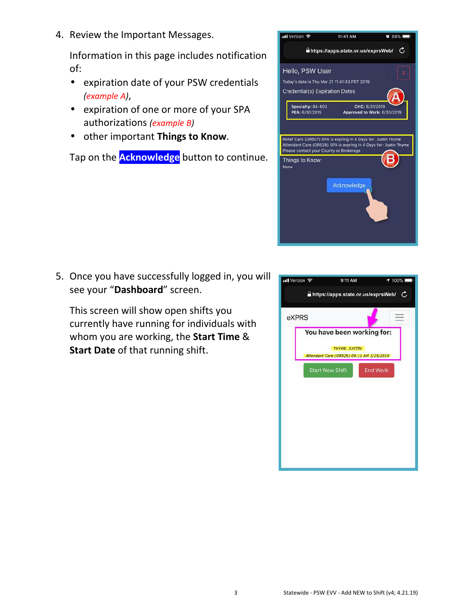4. Review the Important Messages.

Information in this page includes notification of:

- expiration date of your PSW credentials *(example A)*,
- expiration of one or more of your SPA authorizations *(example B)*
- other important **Things to Know**.

Tap on the **Acknowledge** button to continue.



5. Once you have successfully logged in, you will see your "**Dashboard**" screen.

This screen will show open shifts you currently have running for individuals with whom you are working, the **Start Time** & **Start Date** of that running shift.

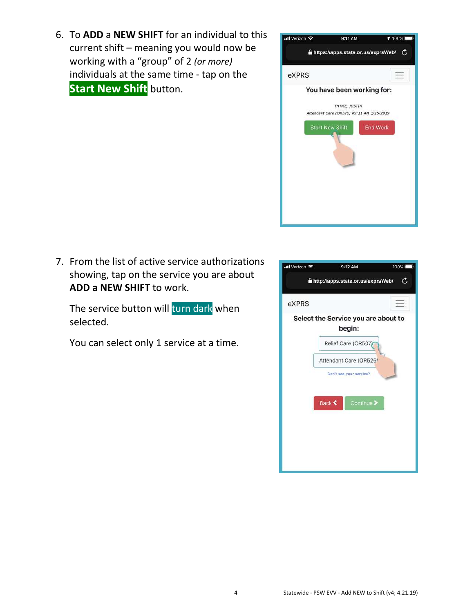6. To **ADD** a **NEW SHIFT** for an individual to this current shift – meaning you would now be working with a "group" of 2 *(or more)* individuals at the same time - tap on the **Start New Shift** button.



7. From the list of active service authorizations showing, tap on the service you are about **ADD a NEW SHIFT** to work.

The service button will turn dark when selected.

You can select only 1 service at a time.

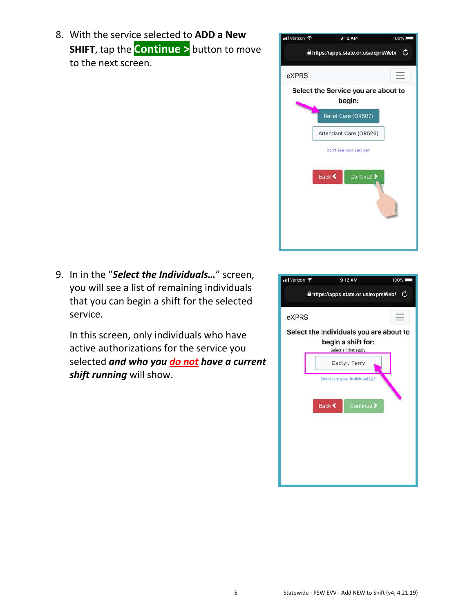8. With the service selected to **ADD a New SHIFT**, tap the **Continue >** button to move to the next screen.



9. In in the "*Select the Individuals…*" screen, you will see a list of remaining individuals that you can begin a shift for the selected service.

In this screen, only individuals who have active authorizations for the service you selected *and who you do not have a current shift running* will show.

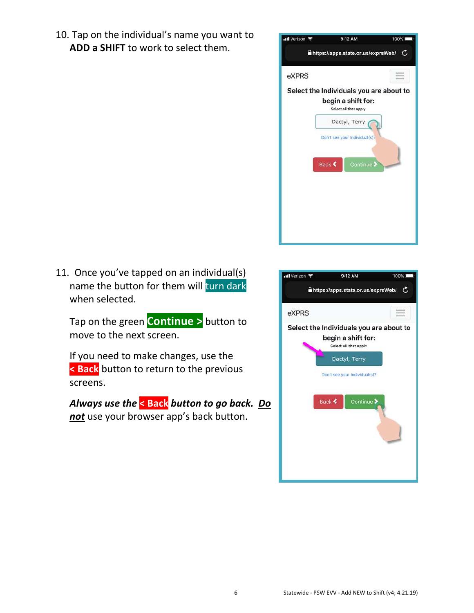10. Tap on the individual's name you want to **ADD a SHIFT** to work to select them.



11. Once you've tapped on an individual(s) name the button for them will turn dark when selected.

Tap on the green **Continue >** button to move to the next screen.

If you need to make changes, use the **< Back** button to return to the previous screens.

*Always use the* **< Back** *button to go back. Do not* use your browser app's back button.

| ull Verizon                        | 9:12 AM                                                                                                 | 100% |  |
|------------------------------------|---------------------------------------------------------------------------------------------------------|------|--|
| https://apps.state.or.us/exprsWeb/ |                                                                                                         |      |  |
| eXPRS                              |                                                                                                         |      |  |
|                                    | Select the Individuals you are about to<br>begin a shift for:<br>Select all that apply<br>Dactyl, Terry |      |  |
|                                    | Don't see your Individual(s)?                                                                           |      |  |
|                                    | <b>Back ₹</b><br>Continue >                                                                             |      |  |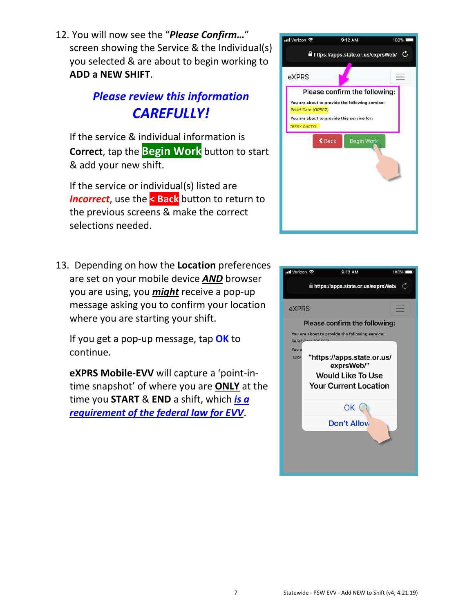12. You will now see the "*Please Confirm…*" screen showing the Service & the Individual(s) you selected & are about to begin working to **ADD a NEW SHIFT**.

## *Please review this information CAREFULLY!*

If the service & individual information is **Correct**, tap the **Begin Work** button to start & add your new shift.

If the service or individual(s) listed are *Incorrect*, use the **< Back** button to return to the previous screens & make the correct selections needed.

13. Depending on how the **Location** preferences are set on your mobile device *AND* browser you are using, you *might* receive a pop-up message asking you to confirm your location where you are starting your shift.

If you get a pop-up message, tap **OK** to continue.

**eXPRS Mobile-EVV** will capture a 'point-intime snapshot' of where you are **ONLY** at the time you **START** & **END** a shift, which *is a requirement of the federal law for EVV*.



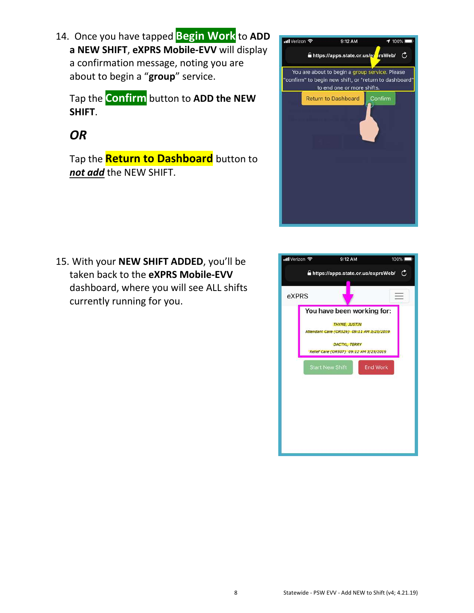14. Once you have tapped **Begin Work** to **ADD a NEW SHIFT**, **eXPRS Mobile-EVV** will display a confirmation message, noting you are about to begin a "**group**" service.

Tap the **Confirm** button to **ADD the NEW SHIFT**.

## *OR*

Tap the **Return to Dashboard** button to *not add* the NEW SHIFT.



15. With your **NEW SHIFT ADDED**, you'll be taken back to the **eXPRS Mobile-EVV**  dashboard, where you will see ALL shifts currently running for you.

| ull Verizon 후 | 9:12 AM                                                                                                                                                                                     | 100%            |
|---------------|---------------------------------------------------------------------------------------------------------------------------------------------------------------------------------------------|-----------------|
|               | https://apps.state.or.us/exprsWeb/                                                                                                                                                          | C               |
| eXPRS         |                                                                                                                                                                                             |                 |
|               | You have been working for:<br><b>THYME, JUSTIN</b><br>Attendant Care (OR526) 09:11 AM 3/25/2019<br><b>DACTYL, TERRY</b><br>Relief Care (OR507) 09:12 AM 3/25/2019<br><b>Start New Shift</b> | <b>End Work</b> |
|               |                                                                                                                                                                                             |                 |